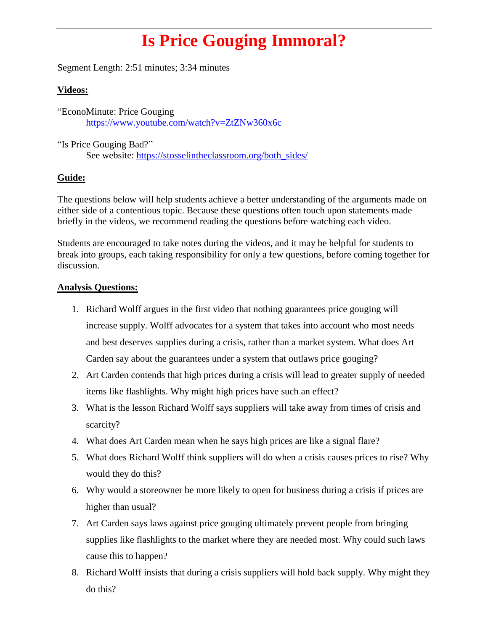## **Is Price Gouging Immoral?**

Segment Length: 2:51 minutes; 3:34 minutes

## **Videos:**

"EconoMinute: Price Gouging <https://www.youtube.com/watch?v=ZtZNw360x6c>

"Is Price Gouging Bad?" See website: [https://stosselintheclassroom.org/both\\_sides/](https://stosselintheclassroom.org/both_sides/)

## **Guide:**

The questions below will help students achieve a better understanding of the arguments made on either side of a contentious topic. Because these questions often touch upon statements made briefly in the videos, we recommend reading the questions before watching each video.

Students are encouraged to take notes during the videos, and it may be helpful for students to break into groups, each taking responsibility for only a few questions, before coming together for discussion.

## **Analysis Questions:**

- 1. Richard Wolff argues in the first video that nothing guarantees price gouging will increase supply. Wolff advocates for a system that takes into account who most needs and best deserves supplies during a crisis, rather than a market system. What does Art Carden say about the guarantees under a system that outlaws price gouging?
- 2. Art Carden contends that high prices during a crisis will lead to greater supply of needed items like flashlights. Why might high prices have such an effect?
- 3. What is the lesson Richard Wolff says suppliers will take away from times of crisis and scarcity?
- 4. What does Art Carden mean when he says high prices are like a signal flare?
- 5. What does Richard Wolff think suppliers will do when a crisis causes prices to rise? Why would they do this?
- 6. Why would a storeowner be more likely to open for business during a crisis if prices are higher than usual?
- 7. Art Carden says laws against price gouging ultimately prevent people from bringing supplies like flashlights to the market where they are needed most. Why could such laws cause this to happen?
- 8. Richard Wolff insists that during a crisis suppliers will hold back supply. Why might they do this?